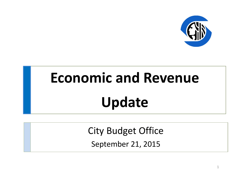

# **Economic and Revenue Update**

City Budget Office

September 21, 2015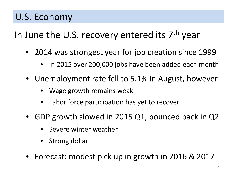#### U.S. Economy

In June the U.S. recovery entered its 7<sup>th</sup> year

- 2014 was strongest year for job creation since 1999
	- In 2015 over 200,000 jobs have been added each month
- Unemployment rate fell to 5.1% in August, however
	- Wage growth remains weak
	- Labor force participation has yet to recover
- GDP growth slowed in 2015 Q1, bounced back in Q2
	- Severe winter weather
	- Strong dollar
- Forecast: modest pick up in growth in 2016 & 2017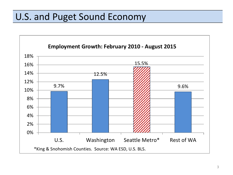## U.S. and Puget Sound Economy

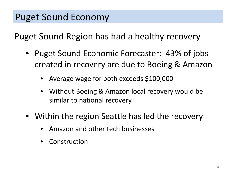Puget Sound Region has had a healthy recovery

- Puget Sound Economic Forecaster: 43% of jobs created in recovery are due to Boeing & Amazon
	- Average wage for both exceeds \$100,000
	- Without Boeing & Amazon local recovery would be similar to national recovery
- Within the region Seattle has led the recovery
	- Amazon and other tech businesses
	- **Construction**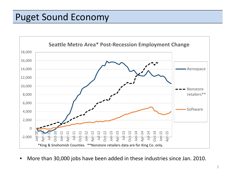## Puget Sound Economy



• More than 30,000 jobs have been added in these industries since Jan. 2010.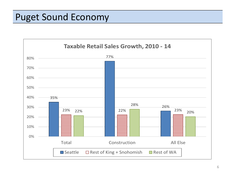#### Puget Sound Economy

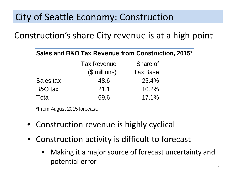Construction's share City revenue is at a high point

| Sales and B&O Tax Revenue from Construction, 2015* |                    |                 |  |  |  |  |  |  |
|----------------------------------------------------|--------------------|-----------------|--|--|--|--|--|--|
|                                                    | <b>Tax Revenue</b> | Share of        |  |  |  |  |  |  |
|                                                    | (\$ millions)      | <b>Tax Base</b> |  |  |  |  |  |  |
| Sales tax                                          | 48.6               | 25.4%           |  |  |  |  |  |  |
| B&O tax                                            | 21.1               | 10.2%           |  |  |  |  |  |  |
| Total                                              | 69.6               | 17.1%           |  |  |  |  |  |  |
| *From August 2015 forecast.                        |                    |                 |  |  |  |  |  |  |

- Construction revenue is highly cyclical
- Construction activity is difficult to forecast
	- Making it a major source of forecast uncertainty and potential error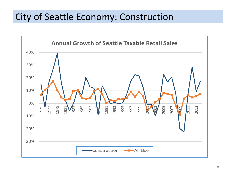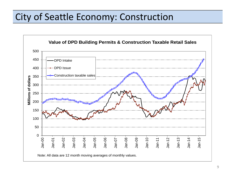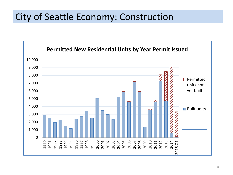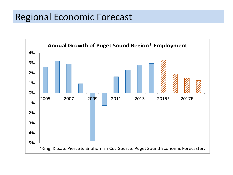## Regional Economic Forecast

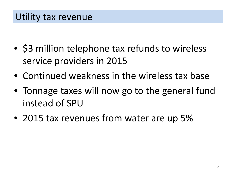- \$3 million telephone tax refunds to wireless service providers in 2015
- Continued weakness in the wireless tax base
- Tonnage taxes will now go to the general fund instead of SPU
- 2015 tax revenues from water are up 5%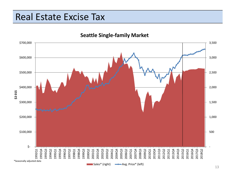#### Real Estate Excise Tax